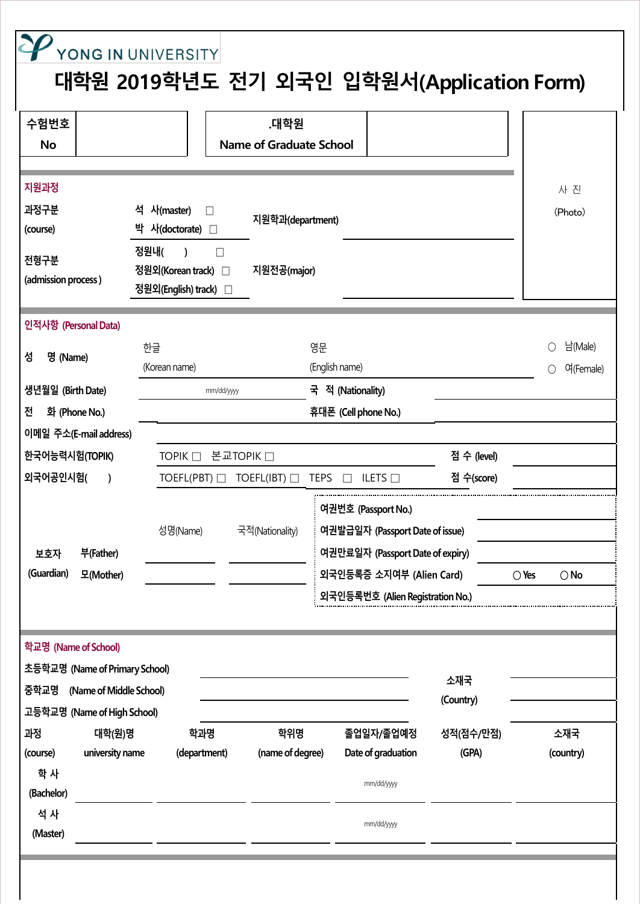| 수험번호<br><b>No</b>                                                                                                                                                                                                       |                                 | .대학원<br><b>Name of Graduate School</b> |                                                                                                                                                            |                    |                                 |
|-------------------------------------------------------------------------------------------------------------------------------------------------------------------------------------------------------------------------|---------------------------------|----------------------------------------|------------------------------------------------------------------------------------------------------------------------------------------------------------|--------------------|---------------------------------|
| 지원과정<br>과정구분<br>석 사(master)<br>$\perp$<br>지원학과(department)<br>박 사(doctorate) □<br>(course)<br>정원내(<br>$\Box$<br>$\lambda$<br>전형구분<br>정원외(Korean track) □<br>지원전공(major)<br>(admission process)<br>정원외(English) track) □ |                                 |                                        |                                                                                                                                                            |                    |                                 |
| 인적사항 (Personal Data)                                                                                                                                                                                                    |                                 |                                        |                                                                                                                                                            |                    |                                 |
| 성<br>명 (Name)                                                                                                                                                                                                           | 한글<br>(Korean name)             | 영문                                     | (English name)                                                                                                                                             |                    | 남(Male)<br>Ω<br>여(Female)<br>∩  |
| 생년월일 (Birth Date)                                                                                                                                                                                                       | 국 적 (Nationality)<br>mm/dd/yyyy |                                        |                                                                                                                                                            |                    |                                 |
| 화 (Phone No.)<br>전                                                                                                                                                                                                      |                                 |                                        | 휴대폰 (Cell phone No.)                                                                                                                                       |                    |                                 |
| 이메일 주소(E-mail address)                                                                                                                                                                                                  |                                 |                                        |                                                                                                                                                            |                    |                                 |
| 한국어능력시험(TOPIK)                                                                                                                                                                                                          | TOPIK □ 본교TOPIK □               |                                        | 점 수 (level)                                                                                                                                                |                    |                                 |
| 외국어공인시험(<br>$\lambda$                                                                                                                                                                                                   | TOEFL(PBT)                      | TOEFL(IBT)<br><b>TEPS</b>              | <b>ILETS</b> $\Box$                                                                                                                                        | 점 수(score)         |                                 |
| 부(Father)<br>보호자<br>(Guardian)<br>모(Mother)                                                                                                                                                                             | 성명(Name)                        | 국적(Nationality)                        | 여권번호 (Passport No.)<br>여권발급일자 (Passport Date of issue)<br>여권만료일자 (Passport Date of expiry)<br>외국인등록증 소지여부 (Alien Card)<br>외국인등록번호 (Alien Registration No.) |                    | $\bigcirc$ Yes<br>$\bigcirc$ No |
| 학교명 (Name of School)<br>초등학교명 (Name of Primary School)                                                                                                                                                                  |                                 |                                        |                                                                                                                                                            |                    |                                 |
| 중학교명<br>(Name of Middle School)                                                                                                                                                                                         |                                 |                                        |                                                                                                                                                            | 소재국                |                                 |
| 고등학교명 (Name of High School)                                                                                                                                                                                             |                                 |                                        |                                                                                                                                                            | (Country)          |                                 |
| 과정<br>대학(원)명<br>university name<br>(course)                                                                                                                                                                             | 학과명<br>(department)             | 학위명<br>(name of degree)                | 졸업일자/졸업예정<br>Date of graduation                                                                                                                            | 성적(점수/만점)<br>(GPA) | 소재국<br>(country)                |
| 학 사<br>(Bachelor)                                                                                                                                                                                                       |                                 |                                        | mm/dd/yyyy                                                                                                                                                 |                    |                                 |
| 석 사<br>(Master)                                                                                                                                                                                                         |                                 |                                        | mm/dd/yyyy                                                                                                                                                 |                    |                                 |